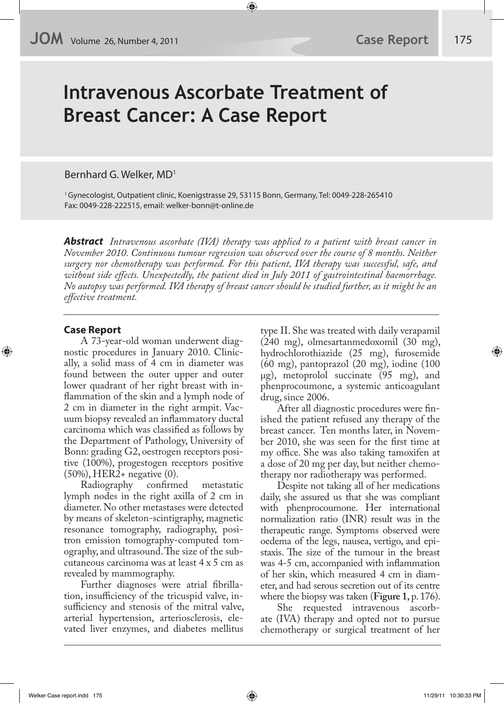# **Intravenous Ascorbate Treatment of Breast Cancer: A Case Report**

Bernhard G. Welker, MD1

1 Gynecologist, Outpatient clinic, Koenigstrasse 29, 53115 Bonn, Germany, Tel: 0049-228-265410 Fax: 0049-228-222515, email: welker-bonn@t-online.de

**Abstract** *Intravenous ascorbate (IVA) therapy was applied to a patient with breast cancer in November 2010. Continuous tumour regression was observed over the course of 8 months. Neither surgery nor chemotherapy was performed. For this patient, IVA therapy was successful, safe, and without side e!ects. Unexpectedly, the patient died in July 2011 of gastrointestinal haemorrhage. No autopsy was performed. IVA therapy of breast cancer should be studied further, as it might be an e!ective treatment.* 

# **Case Report**

A 73-year-old woman underwent diagnostic procedures in January 2010. Clinically, a solid mass of 4 cm in diameter was found between the outer upper and outer lower quadrant of her right breast with in flammation of the skin and a lymph node of 2 cm in diameter in the right armpit. Vacuum biopsy revealed an inflammatory ductal carcinoma which was classified as follows by the Department of Pathology, University of Bonn: grading G2, oestrogen receptors positive (100%), progestogen receptors positive (50%), HER2+ negative (0).

Radiography confirmed metastatic lymph nodes in the right axilla of 2 cm in diameter. No other metastases were detected by means of skeleton-scintigraphy, magnetic resonance tomography, radiography, positron emission tomography-computed tomography, and ultrasound. The size of the subcutaneous carcinoma was at least 4 x 5 cm as revealed by mammography.

Further diagnoses were atrial fibrillation, insufficiency of the tricuspid valve, insufficiency and stenosis of the mitral valve, arterial hypertension, arteriosclerosis, elevated liver enzymes, and diabetes mellitus type II. She was treated with daily verapamil (240 mg), olmesartanmedoxomil (30 mg), hydrochlorothiazide (25 mg), furosemide (60 mg), pantoprazol (20 mg), iodine (100 µg), metoprolol succinate (95 mg), and phenprocoumone, a systemic anticoagulant drug, since 2006.

After all diagnostic procedures were finished the patient refused any therapy of the breast cancer. Ten months later, in November 2010, she was seen for the first time at my office. She was also taking tamoxifen at a dose of 20 mg per day, but neither chemotherapy nor radiotherapy was performed.

Despite not taking all of her medications daily, she assured us that she was compliant with phenprocoumone. Her international normalization ratio (INR) result was in the therapeutic range. Symptoms observed were oedema of the legs, nausea, vertigo, and epistaxis. The size of the tumour in the breast was 4-5 cm, accompanied with inflammation of her skin, which measured 4 cm in diameter, and had serous secretion out of its centre where the biopsy was taken (**Figure 1,** p. 176).

She requested intravenous ascorbate (IVA) therapy and opted not to pursue chemotherapy or surgical treatment of her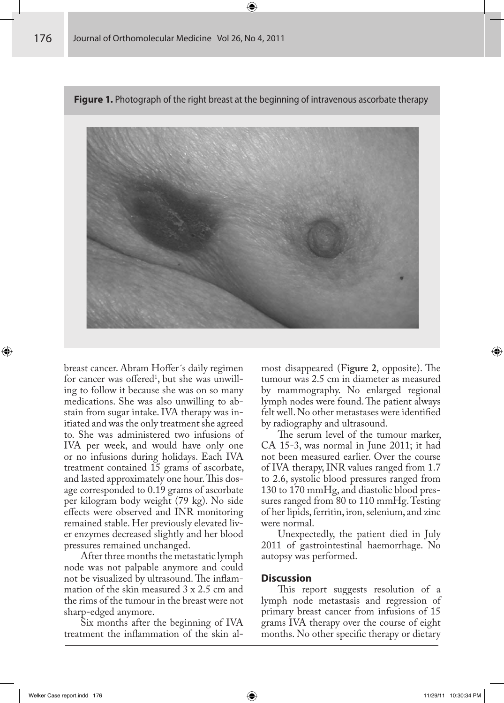**Figure 1.** Photograph of the right breast at the beginning of intravenous ascorbate therapy



breast cancer. Abram Hoffer's daily regimen for cancer was offered<sup>1</sup>, but she was unwilling to follow it because she was on so many medications. She was also unwilling to abstain from sugar intake. IVA therapy was initiated and was the only treatment she agreed to. She was administered two infusions of IVA per week, and would have only one or no infusions during holidays. Each IVA treatment contained 15 grams of ascorbate, and lasted approximately one hour. This dosage corresponded to 0.19 grams of ascorbate per kilogram body weight (79 kg). No side effects were observed and INR monitoring remained stable. Her previously elevated liver enzymes decreased slightly and her blood pressures remained unchanged.

After three months the metastatic lymph node was not palpable anymore and could not be visualized by ultrasound. The inflammation of the skin measured 3 x 2.5 cm and the rims of the tumour in the breast were not sharp-edged anymore.

Six months after the beginning of IVA treatment the inflammation of the skin almost disappeared (**Figure 2**, opposite). The tumour was 2.5 cm in diameter as measured by mammography. No enlarged regional lymph nodes were found. The patient always felt well. No other metastases were identified by radiography and ultrasound.

The serum level of the tumour marker, CA 15-3, was normal in June 2011; it had not been measured earlier. Over the course of IVA therapy, INR values ranged from 1.7 to 2.6, systolic blood pressures ranged from 130 to 170 mmHg, and diastolic blood pressures ranged from 80 to 110 mmHg. Testing of her lipids, ferritin, iron, selenium, and zinc were normal.

Unexpectedly, the patient died in July 2011 of gastrointestinal haemorrhage. No autopsy was performed.

#### **Discussion**

This report suggests resolution of a lymph node metastasis and regression of primary breast cancer from infusions of 15 grams IVA therapy over the course of eight months. No other specific therapy or dietary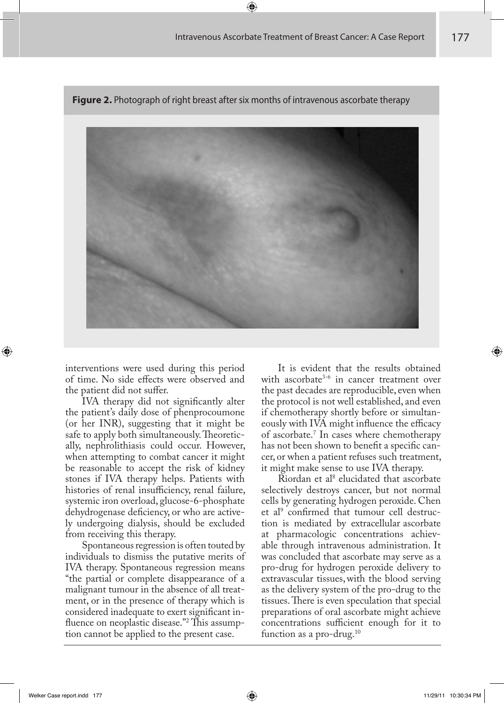

**Figure 2.** Photograph of right breast after six months of intravenous ascorbate therapy

interventions were used during this period of time. No side effects were observed and the patient did not suffer.

IVA therapy did not significantly alter the patient's daily dose of phenprocoumone (or her INR), suggesting that it might be safe to apply both simultaneously. Theoretically, nephrolithiasis could occur. However, when attempting to combat cancer it might be reasonable to accept the risk of kidney stones if IVA therapy helps. Patients with histories of renal insufficiency, renal failure, systemic iron overload, glucose-6-phosphate dehydrogenase deficiency, or who are actively undergoing dialysis, should be excluded from receiving this therapy.

Spontaneous regression is often touted by individuals to dismiss the putative merits of IVA therapy. Spontaneous regression means "the partial or complete disappearance of a malignant tumour in the absence of all treatment, or in the presence of therapy which is considered inadequate to exert significant influence on neoplastic disease."<sup>2</sup> This assumption cannot be applied to the present case.

It is evident that the results obtained with ascorbate<sup>3-6</sup> in cancer treatment over the past decades are reproducible, even when the protocol is not well established, and even if chemotherapy shortly before or simultaneously with IVA might influence the efficacy of ascorbate.7 In cases where chemotherapy has not been shown to benefit a specific cancer, or when a patient refuses such treatment, it might make sense to use IVA therapy.

Riordan et al<sup>8</sup> elucidated that ascorbate selectively destroys cancer, but not normal cells by generating hydrogen peroxide. Chen et al<sup>9</sup> confirmed that tumour cell destruction is mediated by extracellular ascorbate at pharmacologic concentrations achievable through intravenous administration. It was concluded that ascorbate may serve as a pro-drug for hydrogen peroxide delivery to extravascular tissues,with the blood serving as the delivery system of the pro-drug to the tissues. There is even speculation that special preparations of oral ascorbate might achieve concentrations sufficient enough for it to function as a pro-drug.<sup>10</sup>